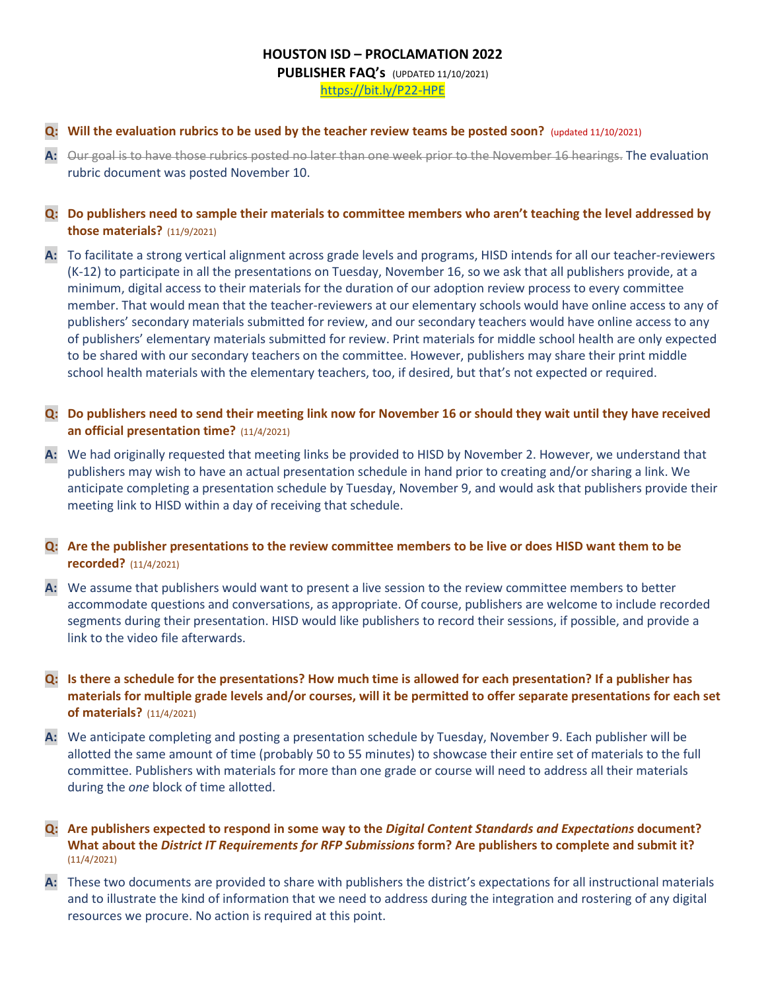### **HOUSTON ISD – PROCLAMATION 2022**

**PUBLISHER FAQ's** (UPDATED 11/10/2021) <https://bit.ly/P22-HPE>

#### **Q: Will the evaluation rubrics to be used by the teacher review teams be posted soon?** (updated 11/10/2021)

**A:** Our goal is to have those rubrics posted no later than one week prior to the November 16 hearings. The evaluation rubric document was posted November 10.

## **Q: Do publishers need to sample their materials to committee members who aren't teaching the level addressed by those materials?** (11/9/2021)

**A:** To facilitate a strong vertical alignment across grade levels and programs, HISD intends for all our teacher-reviewers (K-12) to participate in all the presentations on Tuesday, November 16, so we ask that all publishers provide, at a minimum, digital access to their materials for the duration of our adoption review process to every committee member. That would mean that the teacher-reviewers at our elementary schools would have online access to any of publishers' secondary materials submitted for review, and our secondary teachers would have online access to any of publishers' elementary materials submitted for review. Print materials for middle school health are only expected to be shared with our secondary teachers on the committee. However, publishers may share their print middle school health materials with the elementary teachers, too, if desired, but that's not expected or required.

## **Q: Do publishers need to send their meeting link now for November 16 or should they wait until they have received an official presentation time?** (11/4/2021)

**A:** We had originally requested that meeting links be provided to HISD by November 2. However, we understand that publishers may wish to have an actual presentation schedule in hand prior to creating and/or sharing a link. We anticipate completing a presentation schedule by Tuesday, November 9, and would ask that publishers provide their meeting link to HISD within a day of receiving that schedule.

# **Q: Are the publisher presentations to the review committee members to be live or does HISD want them to be recorded?** (11/4/2021)

**A:** We assume that publishers would want to present a live session to the review committee members to better accommodate questions and conversations, as appropriate. Of course, publishers are welcome to include recorded segments during their presentation. HISD would like publishers to record their sessions, if possible, and provide a link to the video file afterwards.

# **Q: Is there a schedule for the presentations? How much time is allowed for each presentation? If a publisher has materials for multiple grade levels and/or courses, will it be permitted to offer separate presentations for each set of materials?** (11/4/2021)

**A:** We anticipate completing and posting a presentation schedule by Tuesday, November 9. Each publisher will be allotted the same amount of time (probably 50 to 55 minutes) to showcase their entire set of materials to the full committee. Publishers with materials for more than one grade or course will need to address all their materials during the *one* block of time allotted.

### **Q: Are publishers expected to respond in some way to the** *Digital Content Standards and Expectations* **document? What about the** *District IT Requirements for RFP Submissions* **form? Are publishers to complete and submit it?** (11/4/2021)

**A:** These two documents are provided to share with publishers the district's expectations for all instructional materials and to illustrate the kind of information that we need to address during the integration and rostering of any digital resources we procure. No action is required at this point.